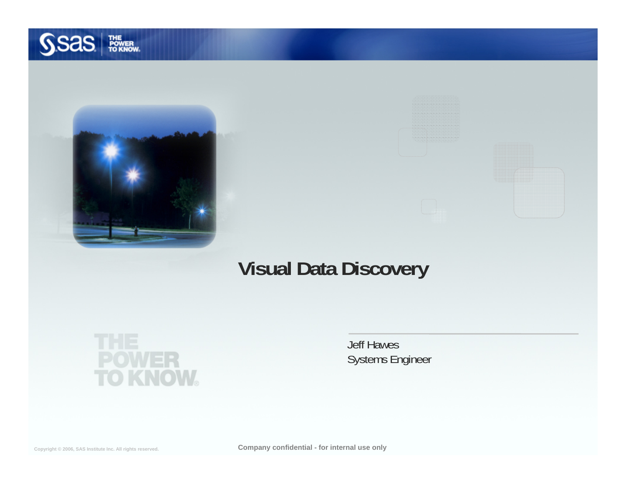



#### **Visual Data Discovery**



Jeff Hawes Systems Engineer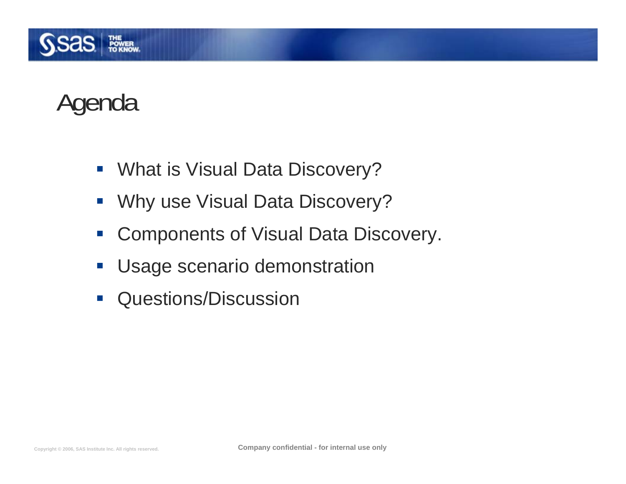

# Agenda

- **What is Visual Data Discovery?**
- $\mathcal{L}_{\mathcal{A}}$ Why use Visual Data Discovery?
- $\mathcal{L}_{\mathcal{A}}$ Components of Visual Data Discovery.
- $\mathcal{L}_{\mathcal{A}}$ Usage scenario demonstration
- $\mathcal{L}_{\mathcal{A}}$ Questions/Discussion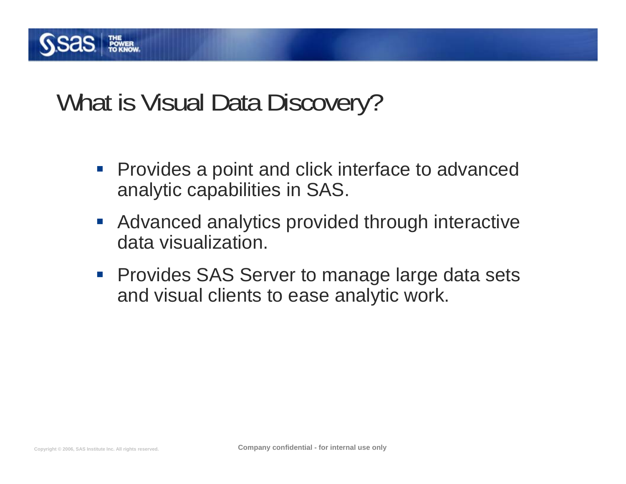

#### What is Visual Data Discovery?

- **Provides a point and click interface to advanced** analytic capabilities in SAS.
- **Advanced analytics provided through interactive** data visualization.
- **Provides SAS Server to manage large data sets** and visual clients to ease analytic work.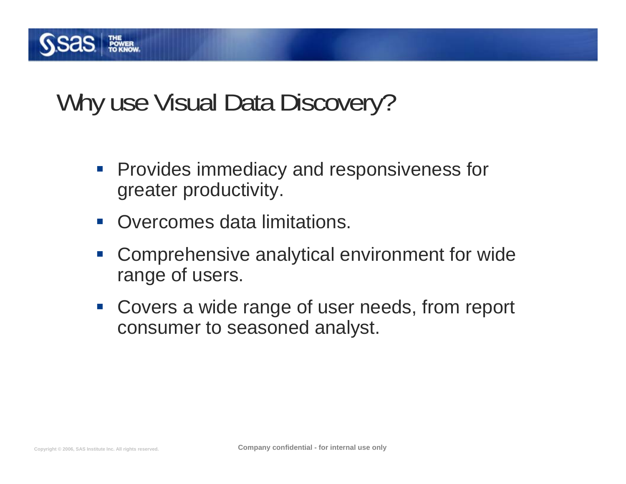

## Why use Visual Data Discovery?

- **Provides immediacy and responsiveness for** greater productivity.
- $\mathcal{L}^{\text{max}}$ Overcomes data limitations.
- $\mathbb{R}^2$  Comprehensive analytical environment for wide range of users.
- **Covers a wide range of user needs, from report** consumer to seasoned analyst.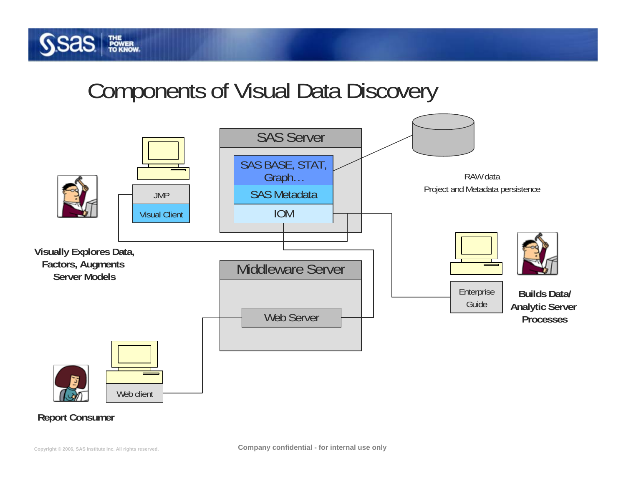

#### Components of Visual Data Discovery